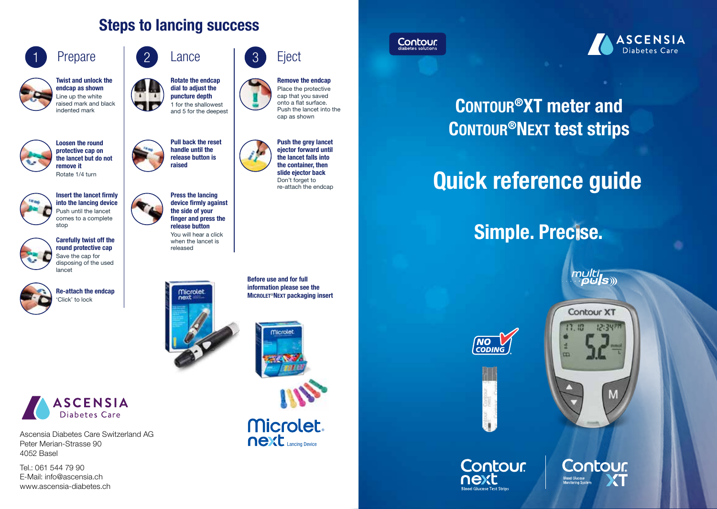### Steps to lancing success



Twist and unlock the endcap as shown Line up the white raised mark and black indented mark



Loosen the round protective cap on the lancet but do not remove it Rotate 1/4 turn



Insert the lancet firmly into the lancing device Push until the lancet comes to a complete stop





'Click' to lock







Ascensia Diabetes Care Switzerland AG Peter Merian-Strasse 90 4052 Basel

Tel.: 061 544 79 90 E-Mail: info@ascensia.ch www.ascensia-diabetes.ch



Rotate the endcap dial to adjust the puncture depth 1 for the shallowest and 5 for the deepest

Pull back the reset handle until the release button is raised

Press the lancing device firmly against the side of your finger and press the release button You will hear a click when the lancet is released

**Eject** 



Remove the endcap Place the protective cap that you saved onto a flat surface. Push the lancet into the cap as shown



Push the grey lancet ejector forward until the lancet falls into the container, then slide ejector back Don't forget to re-attach the endcap

Before use and for full information please see the Microlet®Next packaging insert



next Lancing Device **Microlet** 





# CONTOUR<sup>®</sup>XT meter and CONTOUR<sup>®</sup>NEXT test strips

# Quick reference guide

# Simple. Precise.

multi<br>D**uls** 





**Contour XT** 17.13 12:34PM H  $\overline{m}$ M

Contour

**Blood Glucose**<br>Monitoring System

**Contour.** next **Blood Glucose Test Strips**